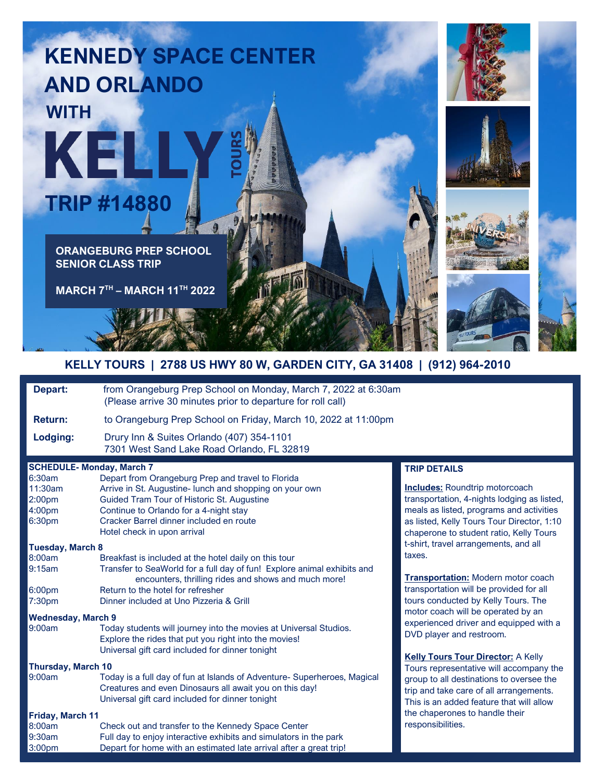



| Depart:                                                                                                                                                                                                      | from Orangeburg Prep School on Monday, March 7, 2022 at 6:30am<br>(Please arrive 30 minutes prior to departure for roll call)                                                                                                                                                                                                                                                                                                                                                                                                                                                                                                                                                                                                                                                                                                                                                                                                                                            |                                                                                                                                                                                                                                                                                                                                                                                                                                                                                                                                                                                                                                                                                                                                                                           |
|--------------------------------------------------------------------------------------------------------------------------------------------------------------------------------------------------------------|--------------------------------------------------------------------------------------------------------------------------------------------------------------------------------------------------------------------------------------------------------------------------------------------------------------------------------------------------------------------------------------------------------------------------------------------------------------------------------------------------------------------------------------------------------------------------------------------------------------------------------------------------------------------------------------------------------------------------------------------------------------------------------------------------------------------------------------------------------------------------------------------------------------------------------------------------------------------------|---------------------------------------------------------------------------------------------------------------------------------------------------------------------------------------------------------------------------------------------------------------------------------------------------------------------------------------------------------------------------------------------------------------------------------------------------------------------------------------------------------------------------------------------------------------------------------------------------------------------------------------------------------------------------------------------------------------------------------------------------------------------------|
| <b>Return:</b>                                                                                                                                                                                               | to Orangeburg Prep School on Friday, March 10, 2022 at 11:00pm                                                                                                                                                                                                                                                                                                                                                                                                                                                                                                                                                                                                                                                                                                                                                                                                                                                                                                           |                                                                                                                                                                                                                                                                                                                                                                                                                                                                                                                                                                                                                                                                                                                                                                           |
| Lodging:                                                                                                                                                                                                     | Drury Inn & Suites Orlando (407) 354-1101<br>7301 West Sand Lake Road Orlando, FL 32819                                                                                                                                                                                                                                                                                                                                                                                                                                                                                                                                                                                                                                                                                                                                                                                                                                                                                  |                                                                                                                                                                                                                                                                                                                                                                                                                                                                                                                                                                                                                                                                                                                                                                           |
| 6:30am<br>11:30am<br>2:00 <sub>pm</sub><br>4:00pm<br>6:30pm<br><b>Tuesday, March 8</b><br>8:00am<br>9:15am<br>6:00pm<br>7:30pm<br><b>Wednesday, March 9</b><br>9:00am<br><b>Thursday, March 10</b><br>9:00am | <b>SCHEDULE- Monday, March 7</b><br>Depart from Orangeburg Prep and travel to Florida<br>Arrive in St. Augustine- lunch and shopping on your own<br>Guided Tram Tour of Historic St. Augustine<br>Continue to Orlando for a 4-night stay<br>Cracker Barrel dinner included en route<br>Hotel check in upon arrival<br>Breakfast is included at the hotel daily on this tour<br>Transfer to SeaWorld for a full day of fun! Explore animal exhibits and<br>encounters, thrilling rides and shows and much more!<br>Return to the hotel for refresher<br>Dinner included at Uno Pizzeria & Grill<br>Today students will journey into the movies at Universal Studios.<br>Explore the rides that put you right into the movies!<br>Universal gift card included for dinner tonight<br>Today is a full day of fun at Islands of Adventure-Superheroes, Magical<br>Creatures and even Dinosaurs all await you on this day!<br>Universal gift card included for dinner tonight | <b>TRIP DETAILS</b><br><b>Includes:</b> Roundtrip motorcoach<br>transportation, 4-nights lodging as listed,<br>meals as listed, programs and activities<br>as listed, Kelly Tours Tour Director, 1:10<br>chaperone to student ratio, Kelly Tours<br>t-shirt, travel arrangements, and all<br>taxes.<br><b>Transportation: Modern motor coach</b><br>transportation will be provided for all<br>tours conducted by Kelly Tours. The<br>motor coach will be operated by an<br>experienced driver and equipped with a<br>DVD player and restroom.<br><b>Kelly Tours Tour Director: A Kelly</b><br>Tours representative will accompany the<br>group to all destinations to oversee the<br>trip and take care of all arrangements.<br>This is an added feature that will allow |
| Friday, March 11<br>8:00am<br>9:30am<br>3:00pm                                                                                                                                                               | Check out and transfer to the Kennedy Space Center<br>Full day to enjoy interactive exhibits and simulators in the park<br>Depart for home with an estimated late arrival after a great trip!                                                                                                                                                                                                                                                                                                                                                                                                                                                                                                                                                                                                                                                                                                                                                                            | the chaperones to handle their<br>responsibilities.                                                                                                                                                                                                                                                                                                                                                                                                                                                                                                                                                                                                                                                                                                                       |